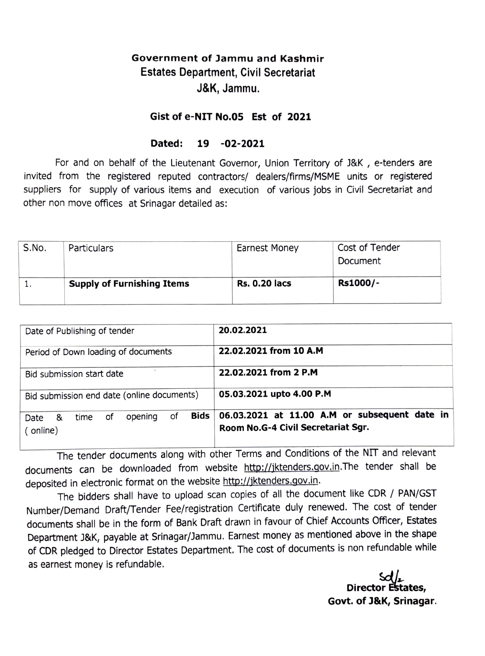## Government of Jammu and Kashmir Estates Department, Civil Secretariat J&K, Jammu.

## Gist of e-NIT No.05 Est of 2021

## Dated: 19 -02-2021

For and on behalf of the Lieutenant Governor, Union Territory of J&K, e-tenders are invited from the registered reputed contractors/ dealers/firms/MSME units or registered suppliers for supply of various items and execution of various jobs in Civil Secretariat and other non move offices at Srinagar detailed as:

| S.No. | Particulars                       | <b>Earnest Money</b> | Cost of Tender<br>Document |
|-------|-----------------------------------|----------------------|----------------------------|
|       | <b>Supply of Furnishing Items</b> | <b>Rs. 0.20 lacs</b> | Rs1000/-                   |

| Date of Publishing of tender                              | 20.02.2021                                                                          |  |
|-----------------------------------------------------------|-------------------------------------------------------------------------------------|--|
| Period of Down loading of documents                       | 22.02.2021 from 10 A.M                                                              |  |
| Bid submission start date                                 | 22.02.2021 from 2 P.M                                                               |  |
| Bid submission end date (online documents)                | 05.03.2021 upto 4.00 P.M                                                            |  |
| Bids<br>of<br>opening<br>οf<br>Date &<br>time<br>(online) | 06.03.2021 at 11.00 A.M or subsequent date in<br>Room No.G-4 Civil Secretariat Sgr. |  |

The tender documents along with other Terms and Conditions of the NIT and relevant documents can be downloaded from website http://jktenders.gov.in.The tender shall be deposited in electronic format on the website http://jktenders.gov.in.

The bidders shall have to upload scan copies of all the document like CDR / PAN/GST Number/Demand Draft/Tender Fee/registration Certificate duly renewed. The cost of tender documents shall be in the form of Bank Draft drawn in favour of Chief Accounts Officer, Estates Department J&K, payable at Srinagar/Jammu. Earnest money as mentioned above in the shape of CDR pledged to Director Estates Department. The cost of documents is non refundable while as earnest money is refundable.

Director E Govt. of J8&K, Srinagar.